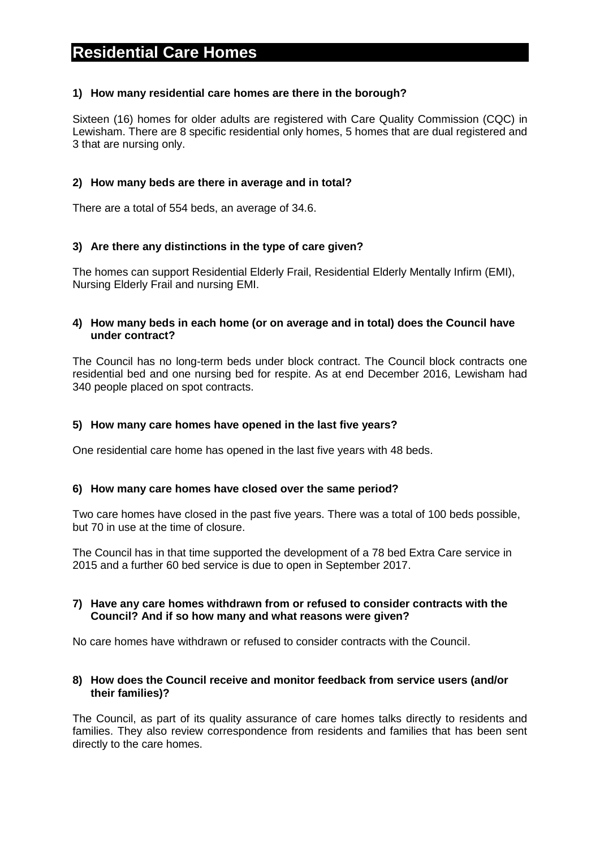# **Residential Care Homes**

#### **1) How many residential care homes are there in the borough?**

Sixteen (16) homes for older adults are registered with Care Quality Commission (CQC) in Lewisham. There are 8 specific residential only homes, 5 homes that are dual registered and 3 that are nursing only.

#### **2) How many beds are there in average and in total?**

There are a total of 554 beds, an average of 34.6.

#### **3) Are there any distinctions in the type of care given?**

The homes can support Residential Elderly Frail, Residential Elderly Mentally Infirm (EMI), Nursing Elderly Frail and nursing EMI.

#### **4) How many beds in each home (or on average and in total) does the Council have under contract?**

The Council has no long-term beds under block contract. The Council block contracts one residential bed and one nursing bed for respite. As at end December 2016, Lewisham had 340 people placed on spot contracts.

#### **5) How many care homes have opened in the last five years?**

One residential care home has opened in the last five years with 48 beds.

#### **6) How many care homes have closed over the same period?**

Two care homes have closed in the past five years. There was a total of 100 beds possible, but 70 in use at the time of closure.

The Council has in that time supported the development of a 78 bed Extra Care service in 2015 and a further 60 bed service is due to open in September 2017.

#### **7) Have any care homes withdrawn from or refused to consider contracts with the Council? And if so how many and what reasons were given?**

No care homes have withdrawn or refused to consider contracts with the Council.

#### **8) How does the Council receive and monitor feedback from service users (and/or their families)?**

The Council, as part of its quality assurance of care homes talks directly to residents and families. They also review correspondence from residents and families that has been sent directly to the care homes.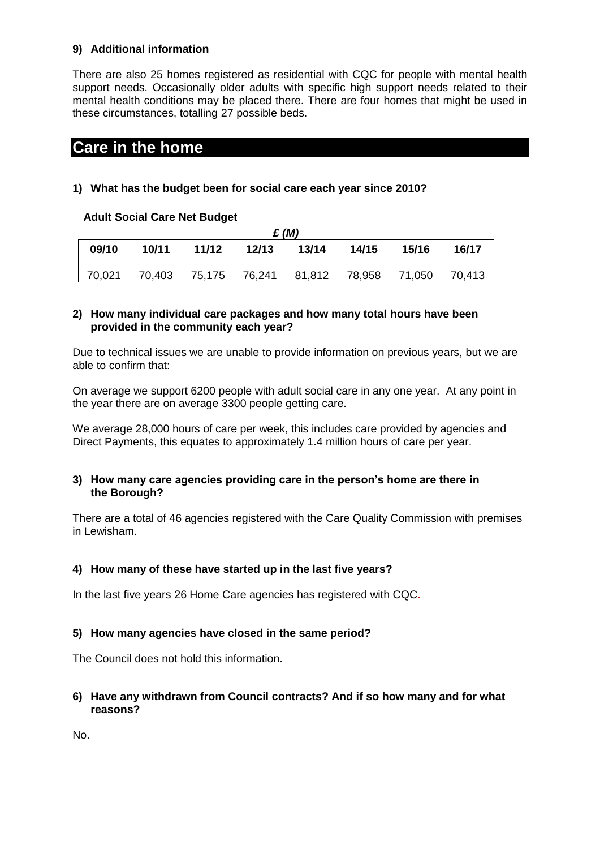## **9) Additional information**

There are also 25 homes registered as residential with CQC for people with mental health support needs. Occasionally older adults with specific high support needs related to their mental health conditions may be placed there. There are four homes that might be used in these circumstances, totalling 27 possible beds.

## **Care in the home**

## **1) What has the budget been for social care each year since 2010?**

## **Adult Social Care Net Budget**

| $\mathbf{E}$ (M) |        |        |        |        |        |        |        |
|------------------|--------|--------|--------|--------|--------|--------|--------|
| 09/10            | 10/11  | 11/12  | 12/13  | 13/14  | 14/15  | 15/16  | 16/17  |
|                  |        |        |        |        |        |        |        |
| 70,021           | 70,403 | 75,175 | 76,241 | 81,812 | 78,958 | 71,050 | 70,413 |

## **2) How many individual care packages and how many total hours have been provided in the community each year?**

Due to technical issues we are unable to provide information on previous years, but we are able to confirm that:

On average we support 6200 people with adult social care in any one year. At any point in the year there are on average 3300 people getting care.

We average 28,000 hours of care per week, this includes care provided by agencies and Direct Payments, this equates to approximately 1.4 million hours of care per year.

#### **3) How many care agencies providing care in the person's home are there in the Borough?**

There are a total of 46 agencies registered with the Care Quality Commission with premises in Lewisham.

## **4) How many of these have started up in the last five years?**

In the last five years 26 Home Care agencies has registered with CQC**.**

## **5) How many agencies have closed in the same period?**

The Council does not hold this information.

## **6) Have any withdrawn from Council contracts? And if so how many and for what reasons?**

No.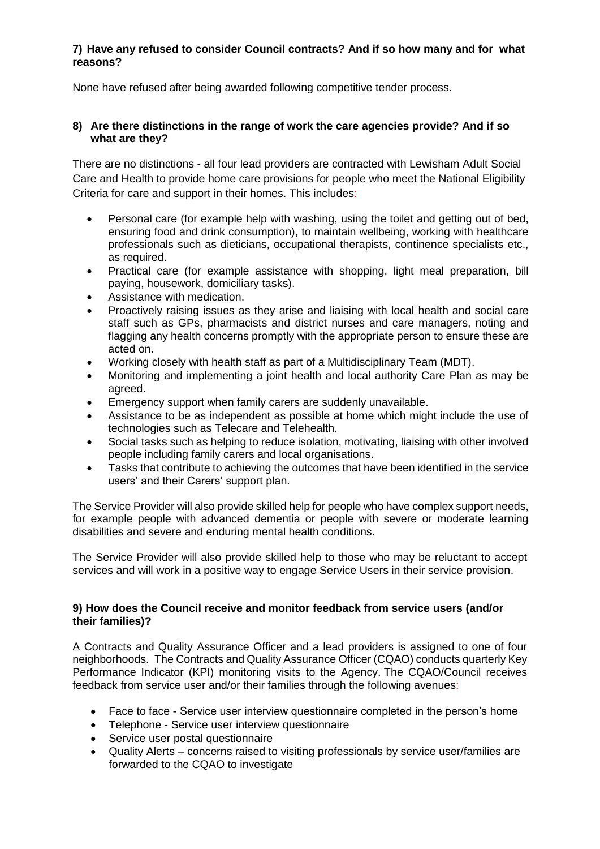### **7) Have any refused to consider Council contracts? And if so how many and for what reasons?**

None have refused after being awarded following competitive tender process.

#### **8) Are there distinctions in the range of work the care agencies provide? And if so what are they?**

There are no distinctions - all four lead providers are contracted with Lewisham Adult Social Care and Health to provide home care provisions for people who meet the National Eligibility Criteria for care and support in their homes. This includes:

- Personal care (for example help with washing, using the toilet and getting out of bed, ensuring food and drink consumption), to maintain wellbeing, working with healthcare professionals such as dieticians, occupational therapists, continence specialists etc., as required.
- Practical care (for example assistance with shopping, light meal preparation, bill paying, housework, domiciliary tasks).
- Assistance with medication.
- Proactively raising issues as they arise and liaising with local health and social care staff such as GPs, pharmacists and district nurses and care managers, noting and flagging any health concerns promptly with the appropriate person to ensure these are acted on.
- Working closely with health staff as part of a Multidisciplinary Team (MDT).
- Monitoring and implementing a joint health and local authority Care Plan as may be agreed.
- Emergency support when family carers are suddenly unavailable.
- Assistance to be as independent as possible at home which might include the use of technologies such as Telecare and Telehealth.
- Social tasks such as helping to reduce isolation, motivating, liaising with other involved people including family carers and local organisations.
- Tasks that contribute to achieving the outcomes that have been identified in the service users' and their Carers' support plan.

The Service Provider will also provide skilled help for people who have complex support needs, for example people with advanced dementia or people with severe or moderate learning disabilities and severe and enduring mental health conditions.

The Service Provider will also provide skilled help to those who may be reluctant to accept services and will work in a positive way to engage Service Users in their service provision.

#### **9) How does the Council receive and monitor feedback from service users (and/or their families)?**

A Contracts and Quality Assurance Officer and a lead providers is assigned to one of four neighborhoods. The Contracts and Quality Assurance Officer (CQAO) conducts quarterly Key Performance Indicator (KPI) monitoring visits to the Agency. The CQAO/Council receives feedback from service user and/or their families through the following avenues:

- Face to face Service user interview questionnaire completed in the person's home
- Telephone Service user interview questionnaire
- Service user postal questionnaire
- Quality Alerts concerns raised to visiting professionals by service user/families are forwarded to the CQAO to investigate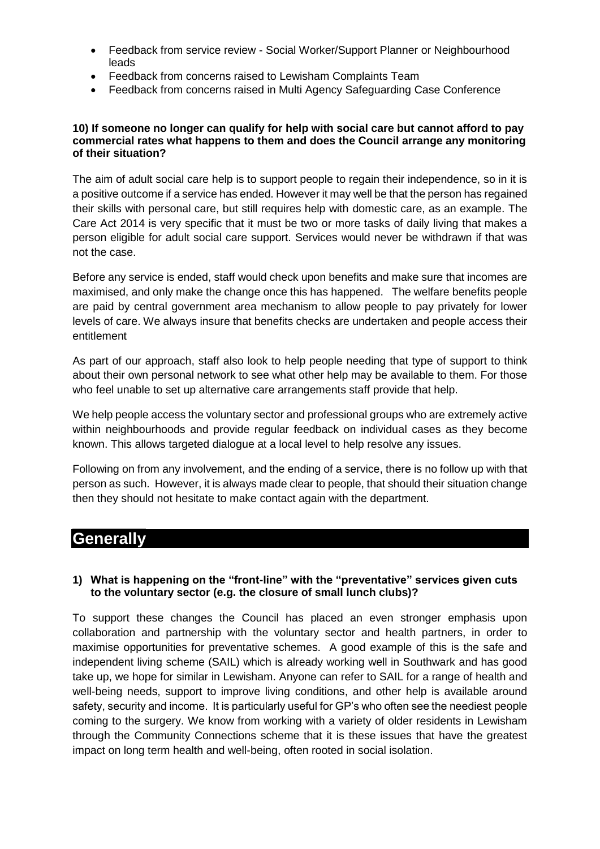- Feedback from service review Social Worker/Support Planner or Neighbourhood leads
- Feedback from concerns raised to Lewisham Complaints Team
- Feedback from concerns raised in Multi Agency Safeguarding Case Conference

#### **10) If someone no longer can qualify for help with social care but cannot afford to pay commercial rates what happens to them and does the Council arrange any monitoring of their situation?**

The aim of adult social care help is to support people to regain their independence, so in it is a positive outcome if a service has ended. However it may well be that the person has regained their skills with personal care, but still requires help with domestic care, as an example. The Care Act 2014 is very specific that it must be two or more tasks of daily living that makes a person eligible for adult social care support. Services would never be withdrawn if that was not the case.

Before any service is ended, staff would check upon benefits and make sure that incomes are maximised, and only make the change once this has happened. The welfare benefits people are paid by central government area mechanism to allow people to pay privately for lower levels of care. We always insure that benefits checks are undertaken and people access their entitlement

As part of our approach, staff also look to help people needing that type of support to think about their own personal network to see what other help may be available to them. For those who feel unable to set up alternative care arrangements staff provide that help.

We help people access the voluntary sector and professional groups who are extremely active within neighbourhoods and provide regular feedback on individual cases as they become known. This allows targeted dialogue at a local level to help resolve any issues.

Following on from any involvement, and the ending of a service, there is no follow up with that person as such. However, it is always made clear to people, that should their situation change then they should not hesitate to make contact again with the department.

## **Generally**

#### **1) What is happening on the "front-line" with the "preventative" services given cuts to the voluntary sector (e.g. the closure of small lunch clubs)?**

To support these changes the Council has placed an even stronger emphasis upon collaboration and partnership with the voluntary sector and health partners, in order to maximise opportunities for preventative schemes. A good example of this is the safe and independent living scheme (SAIL) which is already working well in Southwark and has good take up, we hope for similar in Lewisham. Anyone can refer to SAIL for a range of health and well-being needs, support to improve living conditions, and other help is available around safety, security and income. It is particularly useful for GP's who often see the neediest people coming to the surgery. We know from working with a variety of older residents in Lewisham through the Community Connections scheme that it is these issues that have the greatest impact on long term health and well-being, often rooted in social isolation.